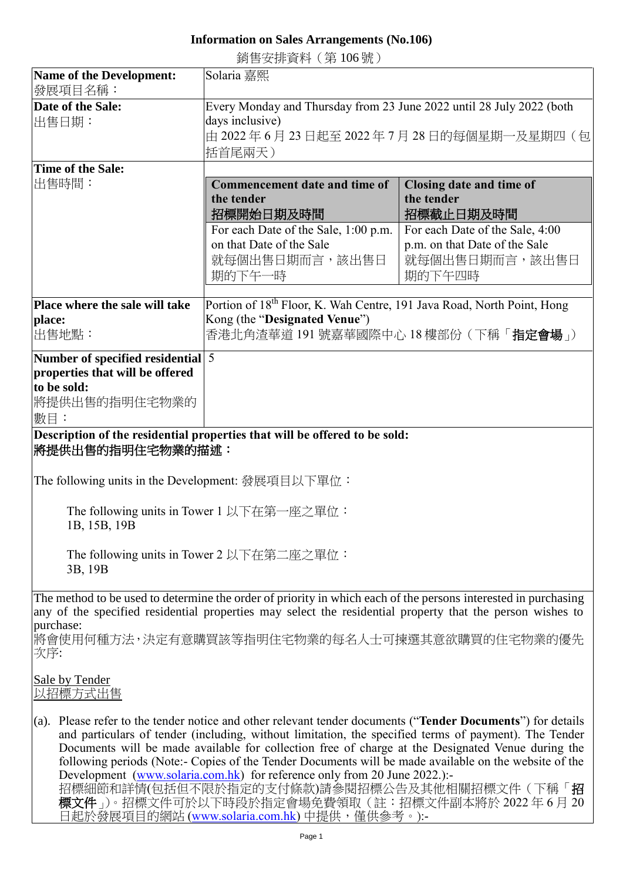## **Information on Sales Arrangements (No.106)**

銷售安排資料(第 106 號)

| <b>Name of the Development:</b>                                                                                                                                                                                      | Solaria 嘉熙                                                                                                                                                                                                                  |                                                 |
|----------------------------------------------------------------------------------------------------------------------------------------------------------------------------------------------------------------------|-----------------------------------------------------------------------------------------------------------------------------------------------------------------------------------------------------------------------------|-------------------------------------------------|
| 發展項目名稱:                                                                                                                                                                                                              |                                                                                                                                                                                                                             |                                                 |
| Date of the Sale:                                                                                                                                                                                                    | Every Monday and Thursday from 23 June 2022 until 28 July 2022 (both                                                                                                                                                        |                                                 |
| 出售日期:                                                                                                                                                                                                                | days inclusive)<br>由 2022 年 6 月 23 日起至 2022 年 7 月 28 日的每個星期一及星期四(包                                                                                                                                                          |                                                 |
|                                                                                                                                                                                                                      | 括首尾兩天)                                                                                                                                                                                                                      |                                                 |
| <b>Time of the Sale:</b>                                                                                                                                                                                             |                                                                                                                                                                                                                             |                                                 |
| 出售時間:                                                                                                                                                                                                                | <b>Commencement date and time of</b>                                                                                                                                                                                        | Closing date and time of                        |
|                                                                                                                                                                                                                      | the tender                                                                                                                                                                                                                  | the tender                                      |
|                                                                                                                                                                                                                      | 招標開始日期及時間                                                                                                                                                                                                                   | 招標截止日期及時間                                       |
|                                                                                                                                                                                                                      | For each Date of the Sale, 1:00 p.m.<br>on that Date of the Sale                                                                                                                                                            | For each Date of the Sale, 4:00                 |
|                                                                                                                                                                                                                      | 就每個出售日期而言,該出售日                                                                                                                                                                                                              | p.m. on that Date of the Sale<br>就每個出售日期而言,該出售日 |
|                                                                                                                                                                                                                      | 期的下午一時                                                                                                                                                                                                                      | 期的下午四時                                          |
|                                                                                                                                                                                                                      |                                                                                                                                                                                                                             |                                                 |
| Place where the sale will take                                                                                                                                                                                       | Portion of 18 <sup>th</sup> Floor, K. Wah Centre, 191 Java Road, North Point, Hong                                                                                                                                          |                                                 |
| place:                                                                                                                                                                                                               | Kong (the "Designated Venue")                                                                                                                                                                                               |                                                 |
| 出售地點:                                                                                                                                                                                                                | 香港北角渣華道 191 號嘉華國際中心 18 樓部份 (下稱「 <b>指定會場</b> 」)                                                                                                                                                                              |                                                 |
| Number of specified residential 5                                                                                                                                                                                    |                                                                                                                                                                                                                             |                                                 |
| properties that will be offered                                                                                                                                                                                      |                                                                                                                                                                                                                             |                                                 |
| to be sold:                                                                                                                                                                                                          |                                                                                                                                                                                                                             |                                                 |
| 將提供出售的指明住宅物業的<br>數目:                                                                                                                                                                                                 |                                                                                                                                                                                                                             |                                                 |
|                                                                                                                                                                                                                      | Description of the residential properties that will be offered to be sold:                                                                                                                                                  |                                                 |
| 將提供出售的指明住宅物業的描述:                                                                                                                                                                                                     |                                                                                                                                                                                                                             |                                                 |
|                                                                                                                                                                                                                      |                                                                                                                                                                                                                             |                                                 |
| The following units in the Development: 發展項目以下單位:                                                                                                                                                                    |                                                                                                                                                                                                                             |                                                 |
|                                                                                                                                                                                                                      |                                                                                                                                                                                                                             |                                                 |
| The following units in Tower 1 以下在第一座之單位:<br>1B, 15B, 19B                                                                                                                                                            |                                                                                                                                                                                                                             |                                                 |
|                                                                                                                                                                                                                      |                                                                                                                                                                                                                             |                                                 |
| The following units in Tower 2 以下在第二座之單位:                                                                                                                                                                            |                                                                                                                                                                                                                             |                                                 |
| 3B, 19B                                                                                                                                                                                                              |                                                                                                                                                                                                                             |                                                 |
|                                                                                                                                                                                                                      |                                                                                                                                                                                                                             |                                                 |
|                                                                                                                                                                                                                      | The method to be used to determine the order of priority in which each of the persons interested in purchasing<br>any of the specified residential properties may select the residential property that the person wishes to |                                                 |
| purchase:                                                                                                                                                                                                            |                                                                                                                                                                                                                             |                                                 |
| 將會使用何種方法,決定有意購買該等指明住宅物業的每名人士可揀選其意欲購買的住宅物業的優先                                                                                                                                                                         |                                                                                                                                                                                                                             |                                                 |
| 次序:                                                                                                                                                                                                                  |                                                                                                                                                                                                                             |                                                 |
| Sale by Tender                                                                                                                                                                                                       |                                                                                                                                                                                                                             |                                                 |
| 以招標方式出售                                                                                                                                                                                                              |                                                                                                                                                                                                                             |                                                 |
|                                                                                                                                                                                                                      |                                                                                                                                                                                                                             |                                                 |
| (a). Please refer to the tender notice and other relevant tender documents ("Tender Documents") for details<br>and particulars of tender (including, without limitation, the specified terms of payment). The Tender |                                                                                                                                                                                                                             |                                                 |
| Documents will be made available for collection free of charge at the Designated Venue during the                                                                                                                    |                                                                                                                                                                                                                             |                                                 |
| following periods (Note:- Copies of the Tender Documents will be made available on the website of the                                                                                                                |                                                                                                                                                                                                                             |                                                 |
| Development (www.solaria.com.hk) for reference only from 20 June 2022.):-<br>招標細節和詳情(包括但不限於指定的支付條款)請參閱招標公告及其他相關招標文件(下稱「招                                                                                             |                                                                                                                                                                                                                             |                                                 |
|                                                                                                                                                                                                                      | 標文件」)。招標文件可於以下時段於指定會場免費領取(註:招標文件副本將於2022年6月20                                                                                                                                                                               |                                                 |

日起於發展項目的網站 [\(www.solaria.com.hk\)](http://www.solaria.com.hk/) 中提供,僅供參考。):-